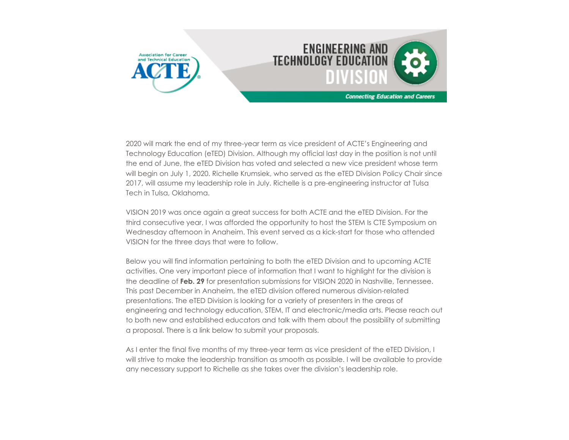

2020 will mark the end of my three-year term as vice president of ACTE's Engineering and Technology Education (eTED) Division. Although my official last day in the position is not until the end of June, the eTED Division has voted and selected a new vice president whose term will begin on July 1, 2020. Richelle Krumsiek, who served as the eTED Division Policy Chair since 2017, will assume my leadership role in July. Richelle is a pre-engineering instructor at Tulsa Tech in Tulsa, Oklahoma.

VISION 2019 was once again a great success for both ACTE and the eTED Division. For the third consecutive year, I was afforded the opportunity to host the STEM Is CTE Symposium on Wednesday afternoon in Anaheim. This event served as a kick-start for those who attended VISION for the three days that were to follow.

Below you will find information pertaining to both the eTED Division and to upcoming ACTE activities. One very important piece of information that I want to highlight for the division is the deadline of **Feb. 29** for presentation submissions for VISION 2020 in Nashville, Tennessee. This past December in Anaheim, the eTED division offered numerous division-related presentations. The eTED Division is looking for a variety of presenters in the areas of engineering and technology education, STEM, IT and electronic/media arts. Please reach out to both new and established educators and talk with them about the possibility of submitting a proposal. There is a link below to submit your proposals.

As I enter the final five months of my three-year term as vice president of the eTED Division, I will strive to make the leadership transition as smooth as possible. I will be available to provide any necessary support to Richelle as she takes over the division's leadership role.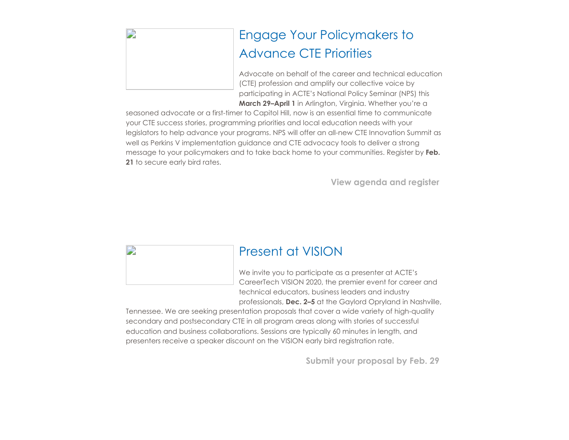| $\mathbf{D}$ |  |  |  |
|--------------|--|--|--|
|              |  |  |  |
|              |  |  |  |
|              |  |  |  |
|              |  |  |  |

# Engage Your Policymakers to Advance CTE Priorities

Advocate on behalf of the career and technical education (CTE) profession and amplify our collective voice by participating in ACTE's National Policy Seminar (NPS) this **March 29–April 1** in Arlington, Virginia. Whether you're a

seasoned advocate or a first-timer to Capitol Hill, now is an essential time to communicate your CTE success stories, programming priorities and local education needs with your legislators to help advance your programs. NPS will offer an all-new CTE Innovation Summit as well as Perkins V implementation guidance and CTE advocacy tools to deliver a strong message to your policymakers and to take back home to your communities. Register by **Feb. 21** to secure early bird rates.

**[View agenda and register](https://www.acteonline.org/nps/)**

D Present at VISION We invite you to participate as a presenter at ACTE's CareerTech VISION 2020, the premier event for career and technical educators, business leaders and industry professionals, **Dec. 2–5** at the Gaylord Opryland in Nashville,

Tennessee. We are seeking presentation proposals that cover a wide variety of high-quality secondary and postsecondary CTE in all program areas along with stories of successful education and business collaborations. Sessions are typically 60 minutes in length, and presenters receive a speaker discount on the VISION early bird registration rate.

**[Submit your proposal by Feb. 29](https://www.careertechvision.com/call_for_proposals.cfm)**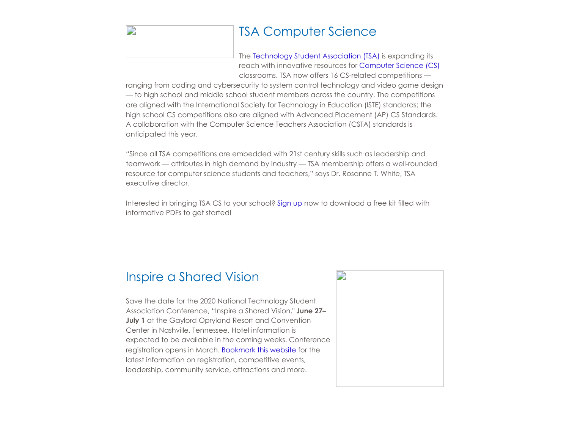### TSA Computer Science

The [Technology Student Association \(TSA\)](https://tsaweb.org/tsa) is expanding its reach with innovative resources for [Computer Science \(CS\)](https://tsaweb.org/competitions-programs/tsa/computer-science) classrooms. TSA now offers 16 CS-related competitions —

ranging from coding and cybersecurity to system control technology and video game design — to high school and middle school student members across the country. The competitions are aligned with the International Society for Technology in Education (ISTE) standards; the high school CS competitions also are aligned with Advanced Placement (AP) CS Standards. A collaboration with the Computer Science Teachers Association (CSTA) standards is anticipated this year.

"Since all TSA competitions are embedded with 21st century skills such as leadership and teamwork — attributes in high demand by industry — TSA membership offers a well-rounded resource for computer science students and teachers," says Dr. Rosanne T. White, TSA executive director.

Interested in bringing TSA CS to your school? [Sign up](https://lp.constantcontact.com/su/ItzGMxu/ComputerScience) now to download a free kit filled with informative PDFs to get started!

#### Inspire a Shared Vision

D

Save the date for the 2020 National Technology Student Association Conference, "Inspire a Shared Vision," **June 27– July 1** at the Gaylord Opryland Resort and Convention Center in Nashville, Tennessee. Hotel information is expected to be available in the coming weeks. Conference registration opens in March. [Bookmark this website](https://tsaweb.org/events-conferences/2020-national-tsa-conference) for the latest information on registration, competitive events, leadership, community service, attractions and more.

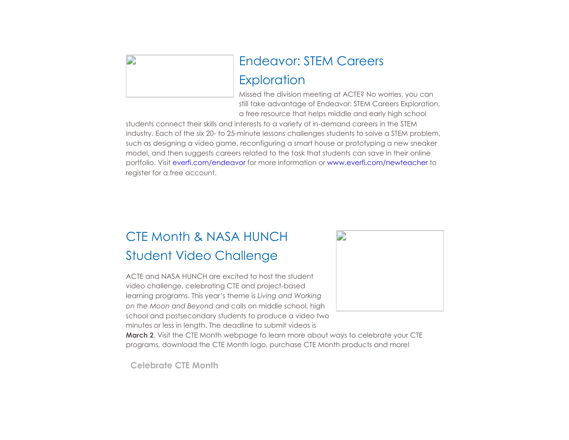## Endeavor: STEM Careers **Exploration**

Missed the division meeting at ACTE? No worries, you can still take advantage of Endeavor: STEM Careers Exploration, a free resource that helps middle and early high school

students connect their skills and interests to a variety of in-demand careers in the STEM industry. Each of the six 20- to 25-minute lessons challenges students to solve a STEM problem, such as designing a video game, reconfiguring a smart house or prototyping a new sneaker model, and then suggests careers related to the task that students can save in their online portfolio. Visit [everfi.com/endeavor](https://everfi.com/courses/endeavor-stem-career-exploration/) for more information or [www.everfi.com/newteacher](https://platform.everfi.net/new_registration?role=teacher) to register for a free account.

## CTE Month & NASA HUNCH Student Video Challenge

ACTE and NASA HUNCH are excited to host the student video challenge, celebrating CTE and project-based learning programs. This year's theme is *Living and Working on the Moon and Beyond* and calls on middle school, high school and postsecondary students to produce a video two minutes or less in length. The deadline to submit videos is



**March 2**. Visit the CTE Month webpage to learn more about ways to celebrate your CTE programs, download the CTE Month logo, purchase CTE Month products and more!

**[Celebrate CTE Month](https://www.acteonline.org/why-cte/cte-awareness/cte-month/cte-month-2020-and-nasa-hunch-video-challenge/)**

D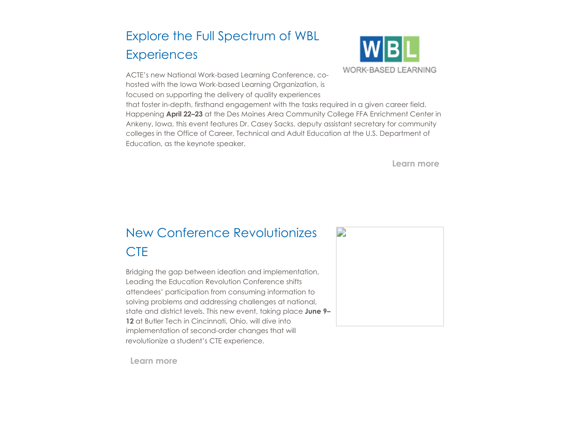## Explore the Full Spectrum of WBL **Experiences**





that foster in-depth, firsthand engagement with the tasks required in a given career field. Happening **April 22–23** at the Des Moines Area Community College FFA Enrichment Center in Ankeny, Iowa, this event features Dr. Casey Sacks, deputy assistant secretary for community colleges in the Office of Career, Technical and Adult Education at the U.S. Department of Education, as the keynote speaker.

**[Learn more](https://www.acteonline.org/wbl-conference/)**

## New Conference Revolutionizes **CTF**

Bridging the gap between ideation and implementation, Leading the Education Revolution Conference shifts attendees' participation from consuming information to solving problems and addressing challenges at national, state and district levels. This new event, taking place **June 9– 12** at Butler Tech in Cincinnati, Ohio, will dive into implementation of second-order changes that will revolutionize a student's CTE experience.



**[Learn more](https://www.acteonline.org/leading-the-education-revolution-conference/)**